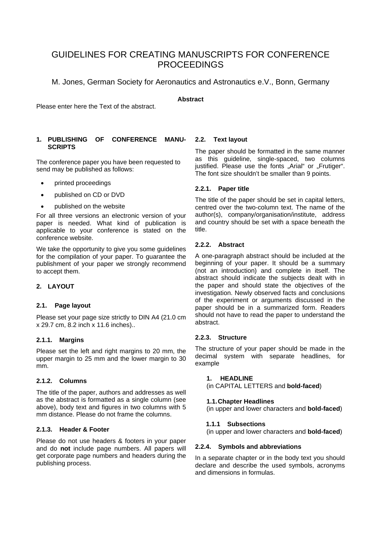# GUIDELINES FOR CREATING MANUSCRIPTS FOR CONFERENCE **PROCEEDINGS**

M. Jones, German Society for Aeronautics and Astronautics e.V., Bonn, Germany

# **Abstract**

Please enter here the Text of the abstract.

# **1. PUBLISHING OF CONFERENCE MANU-SCRIPTS**

The conference paper you have been requested to send may be published as follows:

- printed proceedings
- published on CD or DVD
- published on the website

For all three versions an electronic version of your paper is needed. What kind of publication is applicable to your conference is stated on the conference website.

We take the opportunity to give you some guidelines for the compilation of your paper. To guarantee the publishment of your paper we strongly recommend to accept them.

# **2. LAYOUT**

# **2.1. Page layout**

Please set your page size strictly to DIN A4 (21.0 cm x 29.7 cm, 8.2 inch x 11.6 inches)..

# **2.1.1. Margins**

Please set the left and right margins to 20 mm, the upper margin to 25 mm and the lower margin to 30 mm.

# **2.1.2. Columns**

The title of the paper, authors and addresses as well as the abstract is formatted as a single column (see above), body text and figures in two columns with 5 mm distance. Please do not frame the columns.

# **2.1.3. Header & Footer**

Please do not use headers & footers in your paper and do **not** include page numbers. All papers will get corporate page numbers and headers during the publishing process.

# **2.2. Text layout**

The paper should be formatted in the same manner as this guideline, single-spaced, two columns justified. Please use the fonts "Arial" or "Frutiger". The font size shouldn't be smaller than 9 points.

# **2.2.1. Paper title**

The title of the paper should be set in capital letters, centred over the two-column text. The name of the author(s), company/organisation/institute, address and country should be set with a space beneath the title.

# **2.2.2. Abstract**

A one-paragraph abstract should be included at the beginning of your paper. It should be a summary (not an introduction) and complete in itself. The abstract should indicate the subjects dealt with in the paper and should state the objectives of the investigation. Newly observed facts and conclusions of the experiment or arguments discussed in the paper should be in a summarized form. Readers should not have to read the paper to understand the abstract.

# **2.2.3. Structure**

The structure of your paper should be made in the decimal system with separate headlines, for example

# **1. HEADLINE**

(in CAPITAL LETTERS and **bold-faced**)

# **1.1. Chapter Headlines**

(in upper and lower characters and **bold-faced**)

# **1.1.1 Subsections**

(in upper and lower characters and **bold-faced**)

# **2.2.4. Symbols and abbreviations**

In a separate chapter or in the body text you should declare and describe the used symbols, acronyms and dimensions in formulas.